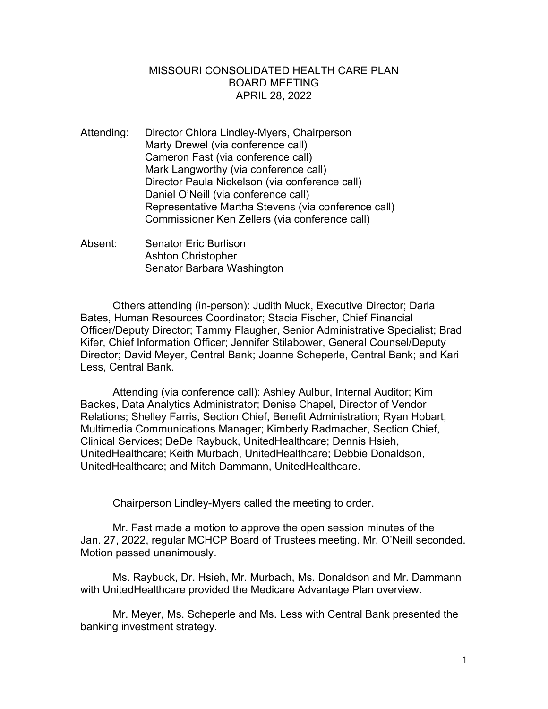## MISSOURI CONSOLIDATED HEALTH CARE PLAN BOARD MEETING APRIL 28, 2022

- Attending: Director Chlora Lindley-Myers, Chairperson Marty Drewel (via conference call) Cameron Fast (via conference call) Mark Langworthy (via conference call) Director Paula Nickelson (via conference call) Daniel O'Neill (via conference call) Representative Martha Stevens (via conference call) Commissioner Ken Zellers (via conference call)
- Absent: Senator Eric Burlison Ashton Christopher Senator Barbara Washington

Others attending (in-person): Judith Muck, Executive Director; Darla Bates, Human Resources Coordinator; Stacia Fischer, Chief Financial Officer/Deputy Director; Tammy Flaugher, Senior Administrative Specialist; Brad Kifer, Chief Information Officer; Jennifer Stilabower, General Counsel/Deputy Director; David Meyer, Central Bank; Joanne Scheperle, Central Bank; and Kari Less, Central Bank.

Attending (via conference call): Ashley Aulbur, Internal Auditor; Kim Backes, Data Analytics Administrator; Denise Chapel, Director of Vendor Relations; Shelley Farris, Section Chief, Benefit Administration; Ryan Hobart, Multimedia Communications Manager; Kimberly Radmacher, Section Chief, Clinical Services; DeDe Raybuck, UnitedHealthcare; Dennis Hsieh, UnitedHealthcare; Keith Murbach, UnitedHealthcare; Debbie Donaldson, UnitedHealthcare; and Mitch Dammann, UnitedHealthcare.

Chairperson Lindley-Myers called the meeting to order.

Mr. Fast made a motion to approve the open session minutes of the Jan. 27, 2022, regular MCHCP Board of Trustees meeting. Mr. O'Neill seconded. Motion passed unanimously.

Ms. Raybuck, Dr. Hsieh, Mr. Murbach, Ms. Donaldson and Mr. Dammann with UnitedHealthcare provided the Medicare Advantage Plan overview.

Mr. Meyer, Ms. Scheperle and Ms. Less with Central Bank presented the banking investment strategy.